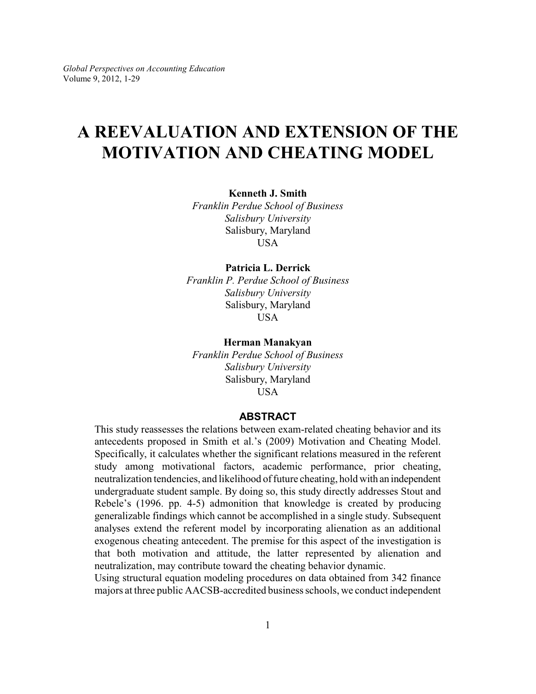# **A REEVALUATION AND EXTENSION OF THE MOTIVATION AND CHEATING MODEL**

**Kenneth J. Smith**

*Franklin Perdue School of Business Salisbury University* Salisbury, Maryland USA

## **Patricia L. Derrick**

*Franklin P. Perdue School of Business Salisbury University* Salisbury, Maryland **USA** 

### **Herman Manakyan**

*Franklin Perdue School of Business Salisbury University* Salisbury, Maryland USA

## **ABSTRACT**

This study reassesses the relations between exam-related cheating behavior and its antecedents proposed in Smith et al.'s (2009) Motivation and Cheating Model. Specifically, it calculates whether the significant relations measured in the referent study among motivational factors, academic performance, prior cheating, neutralization tendencies, and likelihood of future cheating, hold with an independent undergraduate student sample. By doing so, this study directly addresses Stout and Rebele's (1996. pp. 4-5) admonition that knowledge is created by producing generalizable findings which cannot be accomplished in a single study. Subsequent analyses extend the referent model by incorporating alienation as an additional exogenous cheating antecedent. The premise for this aspect of the investigation is that both motivation and attitude, the latter represented by alienation and neutralization, may contribute toward the cheating behavior dynamic.

Using structural equation modeling procedures on data obtained from 342 finance majors at three public AACSB-accredited business schools, we conduct independent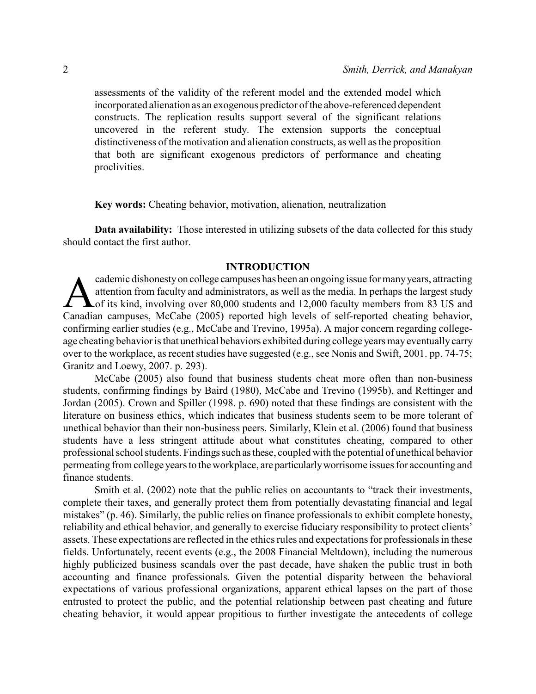assessments of the validity of the referent model and the extended model which incorporated alienation as an exogenous predictor of the above-referenced dependent constructs. The replication results support several of the significant relations uncovered in the referent study. The extension supports the conceptual distinctiveness of the motivation and alienation constructs, as well as the proposition that both are significant exogenous predictors of performance and cheating proclivities.

**Key words:** Cheating behavior, motivation, alienation, neutralization

**Data availability:** Those interested in utilizing subsets of the data collected for this study should contact the first author.

## **INTRODUCTION**

cademic dishonesty on college campuses has been an ongoing issue for many years, attracting<br>attention from faculty and administrators, as well as the media. In perhaps the largest study<br>of its kind, involving over 80,000 s cademic dishonestyon college campuses has been an ongoing issue for manyyears, attracting attention from faculty and administrators, as well as the media. In perhaps the largest study of its kind, involving over 80,000 students and 12,000 faculty members from 83 US and confirming earlier studies (e.g., McCabe and Trevino, 1995a). A major concern regarding collegeage cheating behavior is that unethical behaviors exhibited during college years may eventually carry over to the workplace, as recent studies have suggested (e.g., see Nonis and Swift, 2001. pp. 74-75; Granitz and Loewy, 2007. p. 293).

McCabe (2005) also found that business students cheat more often than non-business students, confirming findings by Baird (1980), McCabe and Trevino (1995b), and Rettinger and Jordan (2005). Crown and Spiller (1998. p. 690) noted that these findings are consistent with the literature on business ethics, which indicates that business students seem to be more tolerant of unethical behavior than their non-business peers. Similarly, Klein et al. (2006) found that business students have a less stringent attitude about what constitutes cheating, compared to other professional school students. Findings such asthese, coupled with the potential of unethical behavior permeating from college years to the workplace, are particularlyworrisome issues for accounting and finance students.

Smith et al. (2002) note that the public relies on accountants to "track their investments, complete their taxes, and generally protect them from potentially devastating financial and legal mistakes" (p. 46). Similarly, the public relies on finance professionals to exhibit complete honesty, reliability and ethical behavior, and generally to exercise fiduciary responsibility to protect clients' assets. These expectations are reflected in the ethics rules and expectations for professionals in these fields. Unfortunately, recent events (e.g., the 2008 Financial Meltdown), including the numerous highly publicized business scandals over the past decade, have shaken the public trust in both accounting and finance professionals. Given the potential disparity between the behavioral expectations of various professional organizations, apparent ethical lapses on the part of those entrusted to protect the public, and the potential relationship between past cheating and future cheating behavior, it would appear propitious to further investigate the antecedents of college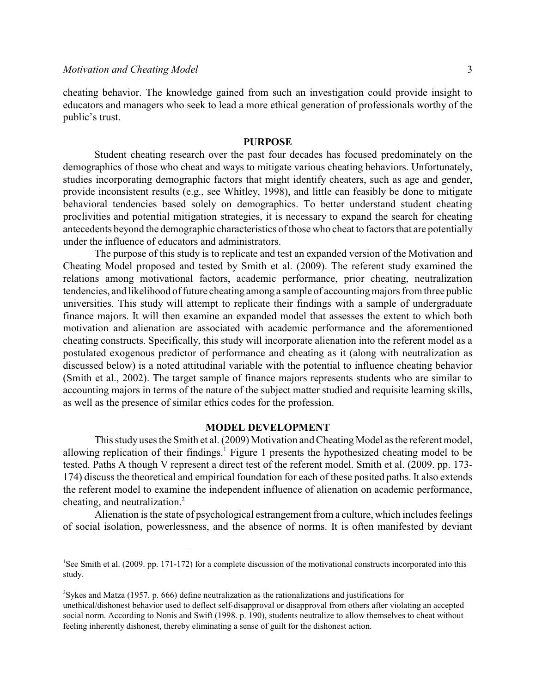cheating behavior. The knowledge gained from such an investigation could provide insight to educators and managers who seek to lead a more ethical generation of professionals worthy of the public's trust.

### **PURPOSE**

Student cheating research over the past four decades has focused predominately on the demographics of those who cheat and ways to mitigate various cheating behaviors. Unfortunately, studies incorporating demographic factors that might identify cheaters, such as age and gender, provide inconsistent results (e.g., see Whitley, 1998), and little can feasibly be done to mitigate behavioral tendencies based solely on demographics. To better understand student cheating proclivities and potential mitigation strategies, it is necessary to expand the search for cheating antecedents beyond the demographic characteristics of those who cheat to factors that are potentially under the influence of educators and administrators.

The purpose of this study is to replicate and test an expanded version of the Motivation and Cheating Model proposed and tested by Smith et al. (2009). The referent study examined the relations among motivational factors, academic performance, prior cheating, neutralization tendencies, and likelihood of future cheating among a sample of accounting majors from three public universities. This study will attempt to replicate their findings with a sample of undergraduate finance majors. It will then examine an expanded model that assesses the extent to which both motivation and alienation are associated with academic performance and the aforementioned cheating constructs. Specifically, this study will incorporate alienation into the referent model as a postulated exogenous predictor of performance and cheating as it (along with neutralization as discussed below) is a noted attitudinal variable with the potential to influence cheating behavior (Smith et al., 2002). The target sample of finance majors represents students who are similar to accounting majors in terms of the nature of the subject matter studied and requisite learning skills, as well as the presence of similar ethics codes for the profession.

### **MODEL DEVELOPMENT**

This study uses the Smith et al. (2009) Motivation and Cheating Model as the referent model, allowing replication of their findings.<sup>1</sup> Figure 1 presents the hypothesized cheating model to be tested. Paths A though V represent a direct test of the referent model. Smith et al. (2009. pp. 173- 174) discuss the theoretical and empirical foundation for each of these posited paths. It also extends the referent model to examine the independent influence of alienation on academic performance, cheating, and neutralization.<sup>2</sup>

Alienation is the state of psychological estrangement from a culture, which includes feelings of social isolation, powerlessness, and the absence of norms. It is often manifested by deviant

<sup>&</sup>lt;sup>1</sup>See Smith et al. (2009. pp. 171-172) for a complete discussion of the motivational constructs incorporated into this study.

 $\text{y}^2$ Sykes and Matza (1957. p. 666) define neutralization as the rationalizations and justifications for

unethical/dishonest behavior used to deflect self-disapproval or disapproval from others after violating an accepted social norm. According to Nonis and Swift (1998. p. 190), students neutralize to allow themselves to cheat without feeling inherently dishonest, thereby eliminating a sense of guilt for the dishonest action.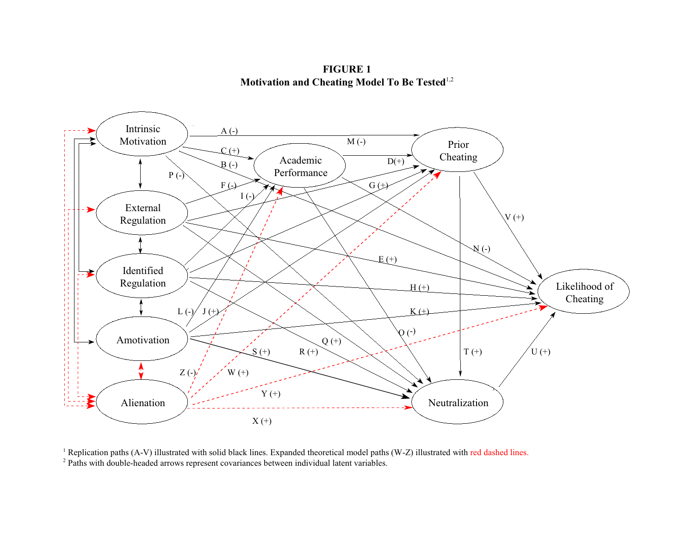**FIGURE 1 Motivation and Cheating Model To Be Tested** 1,2



<sup>1</sup> Replication paths (A-V) illustrated with solid black lines. Expanded theoretical model paths (W-Z) illustrated with red dashed lines. <sup>2</sup> Paths with double-headed arrows represent covariances between individual latent variables.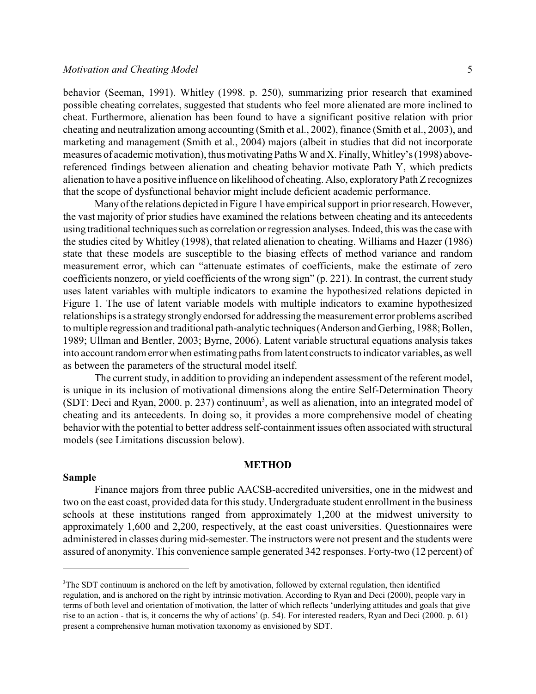behavior (Seeman, 1991). Whitley (1998. p. 250), summarizing prior research that examined possible cheating correlates, suggested that students who feel more alienated are more inclined to cheat. Furthermore, alienation has been found to have a significant positive relation with prior cheating and neutralization among accounting (Smith et al., 2002), finance (Smith et al., 2003), and marketing and management (Smith et al., 2004) majors (albeit in studies that did not incorporate measures of academic motivation), thus motivating Paths W and X. Finally, Whitley's (1998) abovereferenced findings between alienation and cheating behavior motivate Path Y, which predicts alienation to have a positive influence on likelihood of cheating. Also, exploratoryPath Zrecognizes that the scope of dysfunctional behavior might include deficient academic performance.

Manyof the relations depicted in Figure 1 have empirical support in prior research. However, the vast majority of prior studies have examined the relations between cheating and its antecedents using traditional techniques such as correlation or regression analyses. Indeed, this was the case with the studies cited by Whitley (1998), that related alienation to cheating. Williams and Hazer (1986) state that these models are susceptible to the biasing effects of method variance and random measurement error, which can "attenuate estimates of coefficients, make the estimate of zero coefficients nonzero, or yield coefficients of the wrong sign" (p. 221). In contrast, the current study uses latent variables with multiple indicators to examine the hypothesized relations depicted in Figure 1. The use of latent variable models with multiple indicators to examine hypothesized relationships is a strategy strongly endorsed for addressing the measurement error problems ascribed to multiple regression and traditional path-analytic techniques (Anderson and Gerbing, 1988; Bollen, 1989; Ullman and Bentler, 2003; Byrne, 2006). Latent variable structural equations analysis takes into account random errorwhen estimating paths from latent constructs to indicator variables, as well as between the parameters of the structural model itself.

The current study, in addition to providing an independent assessment of the referent model, is unique in its inclusion of motivational dimensions along the entire Self-Determination Theory (SDT: Deci and Ryan, 2000. p. 237) continuum<sup>3</sup>, as well as alienation, into an integrated model of cheating and its antecedents. In doing so, it provides a more comprehensive model of cheating behavior with the potential to better address self-containment issues often associated with structural models (see Limitations discussion below).

#### **METHOD**

## **Sample**

Finance majors from three public AACSB-accredited universities, one in the midwest and two on the east coast, provided data for this study. Undergraduate student enrollment in the business schools at these institutions ranged from approximately 1,200 at the midwest university to approximately 1,600 and 2,200, respectively, at the east coast universities. Questionnaires were administered in classes during mid-semester. The instructors were not present and the students were assured of anonymity. This convenience sample generated 342 responses. Forty-two (12 percent) of

<sup>&</sup>lt;sup>3</sup>The SDT continuum is anchored on the left by amotivation, followed by external regulation, then identified regulation, and is anchored on the right by intrinsic motivation. According to Ryan and Deci (2000), people vary in terms of both level and orientation of motivation, the latter of which reflects 'underlying attitudes and goals that give rise to an action - that is, it concerns the why of actions' (p. 54). For interested readers, Ryan and Deci (2000. p. 61) present a comprehensive human motivation taxonomy as envisioned by SDT.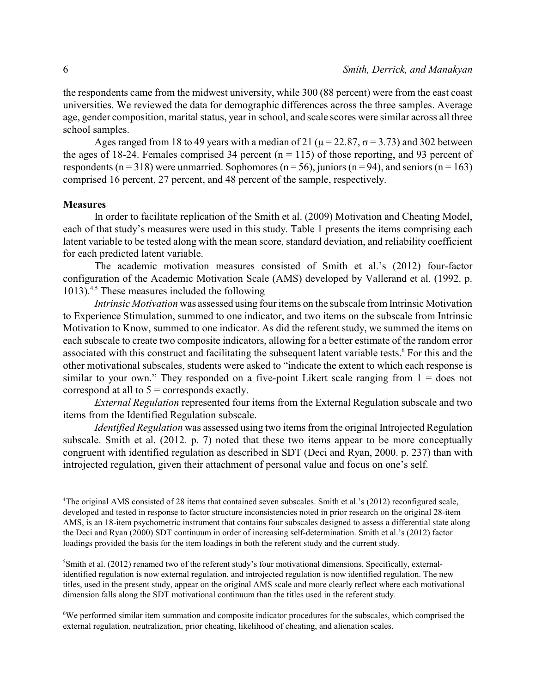the respondents came from the midwest university, while 300 (88 percent) were from the east coast universities. We reviewed the data for demographic differences across the three samples. Average age, gender composition, marital status, year in school, and scale scores were similar across all three school samples.

Ages ranged from 18 to 49 years with a median of 21 ( $\mu$  = 22.87,  $\sigma$  = 3.73) and 302 between the ages of 18-24. Females comprised 34 percent  $(n = 115)$  of those reporting, and 93 percent of respondents ( $n = 318$ ) were unmarried. Sophomores ( $n = 56$ ), juniors ( $n = 94$ ), and seniors ( $n = 163$ ) comprised 16 percent, 27 percent, and 48 percent of the sample, respectively.

## **Measures**

In order to facilitate replication of the Smith et al. (2009) Motivation and Cheating Model, each of that study's measures were used in this study. Table 1 presents the items comprising each latent variable to be tested along with the mean score, standard deviation, and reliability coefficient for each predicted latent variable.

The academic motivation measures consisted of Smith et al.'s (2012) four-factor configuration of the Academic Motivation Scale (AMS) developed by Vallerand et al. (1992. p. 1013). $4.5$  These measures included the following

*Intrinsic Motivation* was assessed using four items on the subscale from Intrinsic Motivation to Experience Stimulation, summed to one indicator, and two items on the subscale from Intrinsic Motivation to Know, summed to one indicator. As did the referent study, we summed the items on each subscale to create two composite indicators, allowing for a better estimate of the random error associated with this construct and facilitating the subsequent latent variable tests.<sup>6</sup> For this and the other motivational subscales, students were asked to "indicate the extent to which each response is similar to your own." They responded on a five-point Likert scale ranging from  $1 =$  does not correspond at all to  $5 =$  corresponds exactly.

*External Regulation* represented four items from the External Regulation subscale and two items from the Identified Regulation subscale.

*Identified Regulation* was assessed using two items from the original Introjected Regulation subscale. Smith et al. (2012. p. 7) noted that these two items appear to be more conceptually congruent with identified regulation as described in SDT (Deci and Ryan, 2000. p. 237) than with introjected regulation, given their attachment of personal value and focus on one's self.

<sup>&</sup>lt;sup>4</sup>The original AMS consisted of 28 items that contained seven subscales. Smith et al.'s (2012) reconfigured scale, developed and tested in response to factor structure inconsistencies noted in prior research on the original 28-item AMS, is an 18-item psychometric instrument that contains four subscales designed to assess a differential state along the Deci and Ryan (2000) SDT continuum in order of increasing self-determination. Smith et al.'s (2012) factor loadings provided the basis for the item loadings in both the referent study and the current study.

 ${}^5$ Smith et al. (2012) renamed two of the referent study's four motivational dimensions. Specifically, externalidentified regulation is now external regulation, and introjected regulation is now identified regulation. The new titles, used in the present study, appear on the original AMS scale and more clearly reflect where each motivational dimension falls along the SDT motivational continuum than the titles used in the referent study.

We performed similar item summation and composite indicator procedures for the subscales, which comprised the <sup>6</sup> external regulation, neutralization, prior cheating, likelihood of cheating, and alienation scales.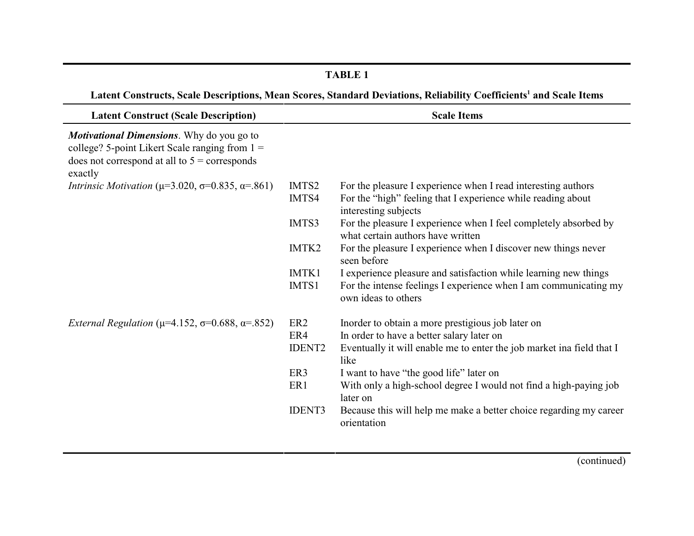## **TABLE 1**

Latent Constructs, Scale Descriptions, Mean Scores, Standard Deviations, Reliability Coefficients<sup>1</sup> and Scale Items

| <b>Latent Construct (Scale Description)</b>                                                                                                                        |                   | <b>Scale Items</b>                                                                                    |
|--------------------------------------------------------------------------------------------------------------------------------------------------------------------|-------------------|-------------------------------------------------------------------------------------------------------|
| <b>Motivational Dimensions.</b> Why do you go to<br>college? 5-point Likert Scale ranging from $1 =$<br>does not correspond at all to $5$ = corresponds<br>exactly |                   |                                                                                                       |
| <i>Intrinsic Motivation</i> ( $\mu$ =3.020, $\sigma$ =0.835, $\alpha$ =.861)                                                                                       | IMTS <sub>2</sub> | For the pleasure I experience when I read interesting authors                                         |
|                                                                                                                                                                    | IMTS4             | For the "high" feeling that I experience while reading about<br>interesting subjects                  |
|                                                                                                                                                                    | IMTS3             | For the pleasure I experience when I feel completely absorbed by<br>what certain authors have written |
|                                                                                                                                                                    | IMTK2             | For the pleasure I experience when I discover new things never<br>seen before                         |
|                                                                                                                                                                    | IMTK1             | I experience pleasure and satisfaction while learning new things                                      |
|                                                                                                                                                                    | IMTS1             | For the intense feelings I experience when I am communicating my<br>own ideas to others               |
| <i>External Regulation</i> ( $\mu$ =4.152, $\sigma$ =0.688, $\alpha$ =.852)                                                                                        | ER <sub>2</sub>   | Inorder to obtain a more prestigious job later on                                                     |
|                                                                                                                                                                    | ER4               | In order to have a better salary later on                                                             |
|                                                                                                                                                                    | <b>IDENT2</b>     | Eventually it will enable me to enter the job market ina field that I<br>like                         |
|                                                                                                                                                                    | ER3               | I want to have "the good life" later on                                                               |
|                                                                                                                                                                    | ER1               | With only a high-school degree I would not find a high-paying job<br>later on                         |
|                                                                                                                                                                    | <b>IDENT3</b>     | Because this will help me make a better choice regarding my career<br>orientation                     |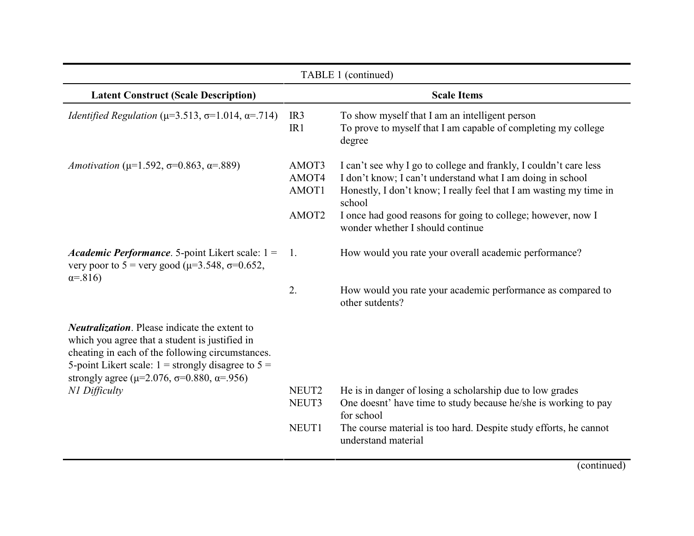| TABLE 1 (continued)                                                                                                                                                                                                                                                                     |                                  |                                                                                                                                                                                                                                                                                 |  |
|-----------------------------------------------------------------------------------------------------------------------------------------------------------------------------------------------------------------------------------------------------------------------------------------|----------------------------------|---------------------------------------------------------------------------------------------------------------------------------------------------------------------------------------------------------------------------------------------------------------------------------|--|
| <b>Latent Construct (Scale Description)</b>                                                                                                                                                                                                                                             |                                  | <b>Scale Items</b>                                                                                                                                                                                                                                                              |  |
| <i>Identified Regulation</i> ( $\mu$ =3.513, $\sigma$ =1.014, $\alpha$ =.714)                                                                                                                                                                                                           | IR <sub>3</sub><br>IR1           | To show myself that I am an intelligent person<br>To prove to myself that I am capable of completing my college<br>degree                                                                                                                                                       |  |
| Amotivation ( $\mu$ =1.592, $\sigma$ =0.863, $\alpha$ =.889)                                                                                                                                                                                                                            | AMOT3<br>AMOT4<br>AMOT1<br>AMOT2 | I can't see why I go to college and frankly, I couldn't care less<br>I don't know; I can't understand what I am doing in school<br>Honestly, I don't know; I really feel that I am wasting my time in<br>school<br>I once had good reasons for going to college; however, now I |  |
|                                                                                                                                                                                                                                                                                         |                                  | wonder whether I should continue                                                                                                                                                                                                                                                |  |
| <i>Academic Performance.</i> 5-point Likert scale: $1 =$<br>very poor to 5 = very good ( $\mu$ =3.548, $\sigma$ =0.652,<br>$\alpha = 816$                                                                                                                                               | -1.                              | How would you rate your overall academic performance?                                                                                                                                                                                                                           |  |
|                                                                                                                                                                                                                                                                                         | 2.                               | How would you rate your academic performance as compared to<br>other sutdents?                                                                                                                                                                                                  |  |
| <b>Neutralization.</b> Please indicate the extent to<br>which you agree that a student is justified in<br>cheating in each of the following circumstances.<br>5-point Likert scale: $1 =$ strongly disagree to $5 =$<br>strongly agree ( $\mu$ =2.076, $\sigma$ =0.880, $\alpha$ =.956) |                                  |                                                                                                                                                                                                                                                                                 |  |
| N1 Difficulty                                                                                                                                                                                                                                                                           | NEUT2<br>NEUT3                   | He is in danger of losing a scholarship due to low grades<br>One doesnt' have time to study because he/she is working to pay<br>for school                                                                                                                                      |  |
|                                                                                                                                                                                                                                                                                         | NEUT1                            | The course material is too hard. Despite study efforts, he cannot<br>understand material                                                                                                                                                                                        |  |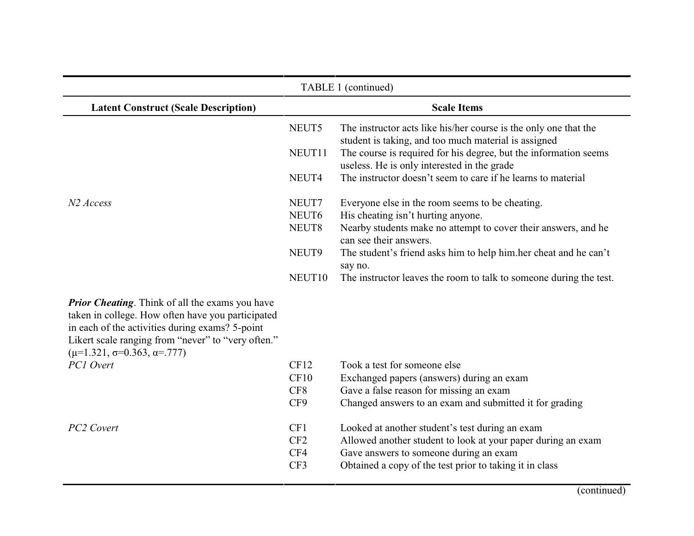| TABLE 1 (continued)                                                                                                                                                                                                                                              |                    |                                                                                                                          |  |
|------------------------------------------------------------------------------------------------------------------------------------------------------------------------------------------------------------------------------------------------------------------|--------------------|--------------------------------------------------------------------------------------------------------------------------|--|
| <b>Latent Construct (Scale Description)</b>                                                                                                                                                                                                                      |                    | <b>Scale Items</b>                                                                                                       |  |
|                                                                                                                                                                                                                                                                  | NEUT5              | The instructor acts like his/her course is the only one that the<br>student is taking, and too much material is assigned |  |
|                                                                                                                                                                                                                                                                  | NEUT11             | The course is required for his degree, but the information seems<br>useless. He is only interested in the grade          |  |
|                                                                                                                                                                                                                                                                  | NEUT4              | The instructor doesn't seem to care if he learns to material                                                             |  |
| N <sub>2</sub> Access                                                                                                                                                                                                                                            | NEUT7              | Everyone else in the room seems to be cheating.                                                                          |  |
|                                                                                                                                                                                                                                                                  | NEUT6              | His cheating isn't hurting anyone.                                                                                       |  |
|                                                                                                                                                                                                                                                                  | NEUT8              | Nearby students make no attempt to cover their answers, and he<br>can see their answers.                                 |  |
|                                                                                                                                                                                                                                                                  | NEUT9              | The student's friend asks him to help him.her cheat and he can't<br>say no.                                              |  |
|                                                                                                                                                                                                                                                                  | NEUT <sub>10</sub> | The instructor leaves the room to talk to someone during the test.                                                       |  |
| <b>Prior Cheating.</b> Think of all the exams you have<br>taken in college. How often have you participated<br>in each of the activities during exams? 5-point<br>Likert scale ranging from "never" to "very often."<br>$(\mu=1.321, \sigma=0.363, \alpha=.777)$ |                    |                                                                                                                          |  |
| PC1 Overt                                                                                                                                                                                                                                                        | CF12               | Took a test for someone else                                                                                             |  |
|                                                                                                                                                                                                                                                                  | CF10               | Exchanged papers (answers) during an exam                                                                                |  |
|                                                                                                                                                                                                                                                                  | CF8                | Gave a false reason for missing an exam                                                                                  |  |
|                                                                                                                                                                                                                                                                  | CF9                | Changed answers to an exam and submitted it for grading                                                                  |  |
| PC2 Covert                                                                                                                                                                                                                                                       | CF1                | Looked at another student's test during an exam                                                                          |  |
|                                                                                                                                                                                                                                                                  | CF2                | Allowed another student to look at your paper during an exam                                                             |  |
|                                                                                                                                                                                                                                                                  | CF4                | Gave answers to someone during an exam                                                                                   |  |
|                                                                                                                                                                                                                                                                  | CF3                | Obtained a copy of the test prior to taking it in class                                                                  |  |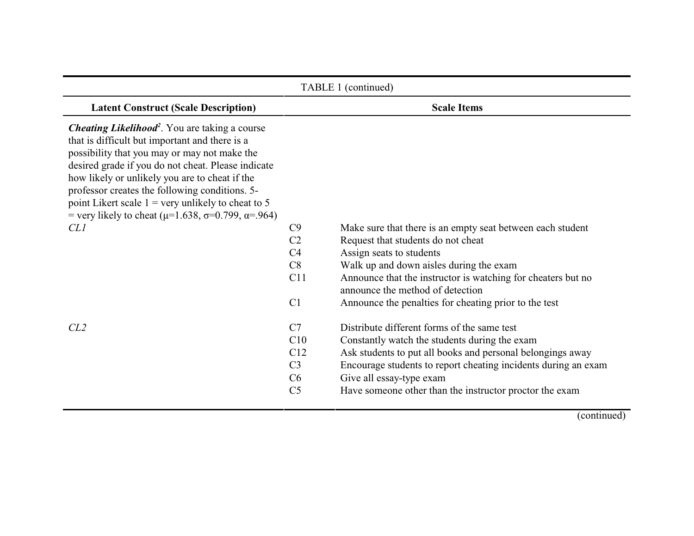| TABLE 1 (continued)                                                                                                                                                                                                                                                                                                                                                                                                                                              |                                                                       |                                                                                                                                                                                                                                                                                                                                      |  |
|------------------------------------------------------------------------------------------------------------------------------------------------------------------------------------------------------------------------------------------------------------------------------------------------------------------------------------------------------------------------------------------------------------------------------------------------------------------|-----------------------------------------------------------------------|--------------------------------------------------------------------------------------------------------------------------------------------------------------------------------------------------------------------------------------------------------------------------------------------------------------------------------------|--|
| <b>Latent Construct (Scale Description)</b>                                                                                                                                                                                                                                                                                                                                                                                                                      |                                                                       | <b>Scale Items</b>                                                                                                                                                                                                                                                                                                                   |  |
| <b>Cheating Likelihood</b> <sup>2</sup> . You are taking a course<br>that is difficult but important and there is a<br>possibility that you may or may not make the<br>desired grade if you do not cheat. Please indicate<br>how likely or unlikely you are to cheat if the<br>professor creates the following conditions. 5-<br>point Likert scale $1$ = very unlikely to cheat to 5<br>= very likely to cheat ( $\mu$ =1.638, $\sigma$ =0.799, $\alpha$ =.964) |                                                                       |                                                                                                                                                                                                                                                                                                                                      |  |
| CL1                                                                                                                                                                                                                                                                                                                                                                                                                                                              | C9<br>C <sub>2</sub><br>C <sub>4</sub><br>C8<br>C11<br>C <sub>1</sub> | Make sure that there is an empty seat between each student<br>Request that students do not cheat<br>Assign seats to students<br>Walk up and down aisles during the exam<br>Announce that the instructor is watching for cheaters but no<br>announce the method of detection<br>Announce the penalties for cheating prior to the test |  |
| CL <sub>2</sub>                                                                                                                                                                                                                                                                                                                                                                                                                                                  | C7<br>C10<br>C12<br>C <sub>3</sub><br>C6<br>C <sub>5</sub>            | Distribute different forms of the same test<br>Constantly watch the students during the exam<br>Ask students to put all books and personal belongings away<br>Encourage students to report cheating incidents during an exam<br>Give all essay-type exam<br>Have someone other than the instructor proctor the exam                  |  |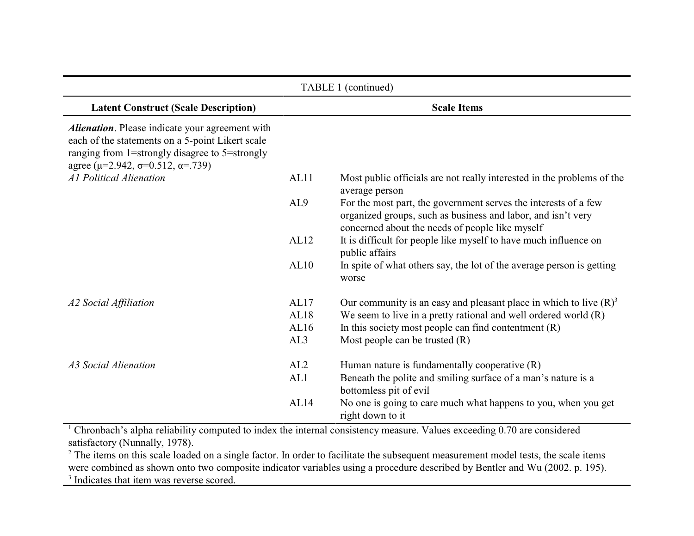| TABLE 1 (continued)                                     |      |                                                                                          |
|---------------------------------------------------------|------|------------------------------------------------------------------------------------------|
| <b>Latent Construct (Scale Description)</b>             |      | <b>Scale Items</b>                                                                       |
| <b>Alienation</b> . Please indicate your agreement with |      |                                                                                          |
| each of the statements on a 5-point Likert scale        |      |                                                                                          |
| ranging from 1=strongly disagree to 5=strongly          |      |                                                                                          |
| agree ( $\mu$ =2.942, $\sigma$ =0.512, $\alpha$ =.739)  |      |                                                                                          |
| Al Political Alienation                                 | AL11 | Most public officials are not really interested in the problems of the<br>average person |
|                                                         | AL9  | For the most part, the government serves the interests of a few                          |
|                                                         |      | organized groups, such as business and labor, and isn't very                             |
|                                                         |      | concerned about the needs of people like myself                                          |
|                                                         | AL12 | It is difficult for people like myself to have much influence on<br>public affairs       |
|                                                         | AL10 | In spite of what others say, the lot of the average person is getting<br>worse           |
| A2 Social Affiliation                                   | AL17 | Our community is an easy and pleasant place in which to live $(R)^3$                     |
|                                                         | AL18 | We seem to live in a pretty rational and well ordered world $(R)$                        |
|                                                         | AL16 | In this society most people can find contentment $(R)$                                   |
|                                                         | AL3  | Most people can be trusted $(R)$                                                         |
| A3 Social Alienation                                    | AL2  | Human nature is fundamentally cooperative (R)                                            |
|                                                         | AL1  | Beneath the polite and smiling surface of a man's nature is a<br>bottomless pit of evil  |
|                                                         | AL14 | No one is going to care much what happens to you, when you get<br>right down to it       |

<sup>1</sup> Chronbach's alpha reliability computed to index the internal consistency measure. Values exceeding 0.70 are considered satisfactory (Nunnally, 1978).

<sup>2</sup> The items on this scale loaded on a single factor. In order to facilitate the subsequent measurement model tests, the scale items were combined as shown onto two composite indicator variables using a procedure described by Bentler and Wu (2002. p. 195). <sup>3</sup> Indicates that item was reverse scored.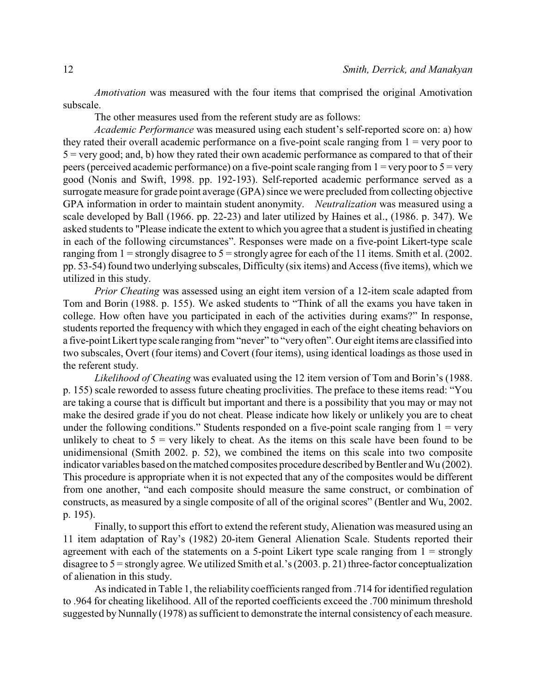*Amotivation* was measured with the four items that comprised the original Amotivation subscale.

The other measures used from the referent study are as follows:

*Academic Performance* was measured using each student's self-reported score on: a) how they rated their overall academic performance on a five-point scale ranging from  $1 = \text{very poor to}$  $5 = \text{very good}$ ; and, b) how they rated their own academic performance as compared to that of their peers (perceived academic performance) on a five-point scale ranging from  $1 =$  very poor to  $5 =$  very good (Nonis and Swift, 1998. pp. 192-193). Self-reported academic performance served as a surrogate measure for grade point average (GPA) since we were precluded from collecting objective GPA information in order to maintain student anonymity. *Neutralization* was measured using a scale developed by Ball (1966. pp. 22-23) and later utilized by Haines et al., (1986. p. 347). We asked students to "Please indicate the extent to which you agree that a student is justified in cheating in each of the following circumstances". Responses were made on a five-point Likert-type scale ranging from  $1 =$  strongly disagree to  $5 =$  strongly agree for each of the 11 items. Smith et al. (2002. pp. 53-54) found two underlying subscales, Difficulty (six items) and Access (five items), which we utilized in this study.

*Prior Cheating* was assessed using an eight item version of a 12-item scale adapted from Tom and Borin (1988. p. 155). We asked students to "Think of all the exams you have taken in college. How often have you participated in each of the activities during exams?" In response, students reported the frequency with which they engaged in each of the eight cheating behaviors on a five-point Likert type scale ranging from "never" to "veryoften". Our eight items are classified into two subscales, Overt (four items) and Covert (four items), using identical loadings as those used in the referent study.

*Likelihood of Cheating* was evaluated using the 12 item version of Tom and Borin's (1988. p. 155) scale reworded to assess future cheating proclivities. The preface to these items read: "You are taking a course that is difficult but important and there is a possibility that you may or may not make the desired grade if you do not cheat. Please indicate how likely or unlikely you are to cheat under the following conditions." Students responded on a five-point scale ranging from  $1 = \text{very}$ unlikely to cheat to  $5$  = very likely to cheat. As the items on this scale have been found to be unidimensional (Smith 2002. p. 52), we combined the items on this scale into two composite indicator variables based on the matched composites procedure described by Bentler and Wu (2002). This procedure is appropriate when it is not expected that any of the composites would be different from one another, "and each composite should measure the same construct, or combination of constructs, as measured by a single composite of all of the original scores" (Bentler and Wu, 2002. p. 195).

Finally, to support this effort to extend the referent study, Alienation was measured using an 11 item adaptation of Ray's (1982) 20-item General Alienation Scale. Students reported their agreement with each of the statements on a 5-point Likert type scale ranging from  $1 =$  strongly disagree to 5 = strongly agree. We utilized Smith et al.'s (2003. p. 21) three-factor conceptualization of alienation in this study.

As indicated in Table 1, the reliability coefficients ranged from .714 for identified regulation to .964 for cheating likelihood. All of the reported coefficients exceed the .700 minimum threshold suggested by Nunnally (1978) as sufficient to demonstrate the internal consistency of each measure.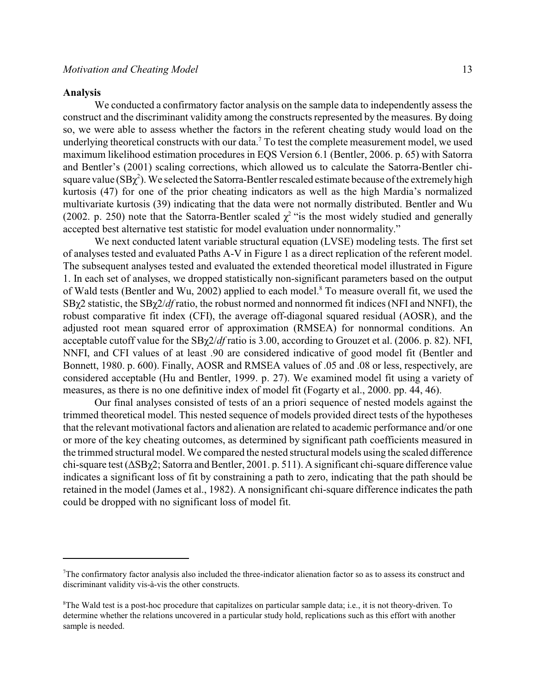#### **Analysis**

We conducted a confirmatory factor analysis on the sample data to independently assess the construct and the discriminant validity among the constructs represented by the measures. By doing so, we were able to assess whether the factors in the referent cheating study would load on the underlying theoretical constructs with our data.<sup>7</sup> To test the complete measurement model, we used maximum likelihood estimation procedures in EQS Version 6.1 (Bentler, 2006. p. 65) with Satorra and Bentler's (2001) scaling corrections, which allowed us to calculate the Satorra-Bentler chisquare value  $(SBy<sup>2</sup>)$ . We selected the Satorra-Bentler rescaled estimate because of the extremely high kurtosis (47) for one of the prior cheating indicators as well as the high Mardia's normalized multivariate kurtosis (39) indicating that the data were not normally distributed. Bentler and Wu (2002. p. 250) note that the Satorra-Bentler scaled  $\chi^2$  "is the most widely studied and generally accepted best alternative test statistic for model evaluation under nonnormality."

We next conducted latent variable structural equation (LVSE) modeling tests. The first set of analyses tested and evaluated Paths A-V in Figure 1 as a direct replication of the referent model. The subsequent analyses tested and evaluated the extended theoretical model illustrated in Figure 1. In each set of analyses, we dropped statistically non-significant parameters based on the output of Wald tests (Bentler and Wu, 2002) applied to each model.<sup>8</sup> To measure overall fit, we used the SB<sub>γ</sub>2 statistic, the SB<sub>γ</sub>2/*df* ratio, the robust normed and nonnormed fit indices (NFI and NNFI), the robust comparative fit index (CFI), the average off-diagonal squared residual (AOSR), and the adjusted root mean squared error of approximation (RMSEA) for nonnormal conditions. An acceptable cutoff value for the SB $\chi$ 2/*df* ratio is 3.00, according to Grouzet et al. (2006. p. 82). NFI, NNFI, and CFI values of at least .90 are considered indicative of good model fit (Bentler and Bonnett, 1980. p. 600). Finally, AOSR and RMSEA values of .05 and .08 or less, respectively, are considered acceptable (Hu and Bentler, 1999. p. 27). We examined model fit using a variety of measures, as there is no one definitive index of model fit (Fogarty et al., 2000. pp. 44, 46).

Our final analyses consisted of tests of an a priori sequence of nested models against the trimmed theoretical model. This nested sequence of models provided direct tests of the hypotheses that the relevant motivational factors and alienation are related to academic performance and/or one or more of the key cheating outcomes, as determined by significant path coefficients measured in the trimmed structural model. We compared the nested structural models using the scaled difference chi-square test  $(\Delta SB\gamma2; Satorra and Bentler, 2001. p. 511)$ . A significant chi-square difference value indicates a significant loss of fit by constraining a path to zero, indicating that the path should be retained in the model (James et al., 1982). A nonsignificant chi-square difference indicates the path could be dropped with no significant loss of model fit.

The confirmatory factor analysis also included the three-indicator alienation factor so as to assess its construct and <sup>7</sup> discriminant validity vis-à-vis the other constructs.

<sup>&</sup>lt;sup>8</sup>The Wald test is a post-hoc procedure that capitalizes on particular sample data; i.e., it is not theory-driven. To determine whether the relations uncovered in a particular study hold, replications such as this effort with another sample is needed.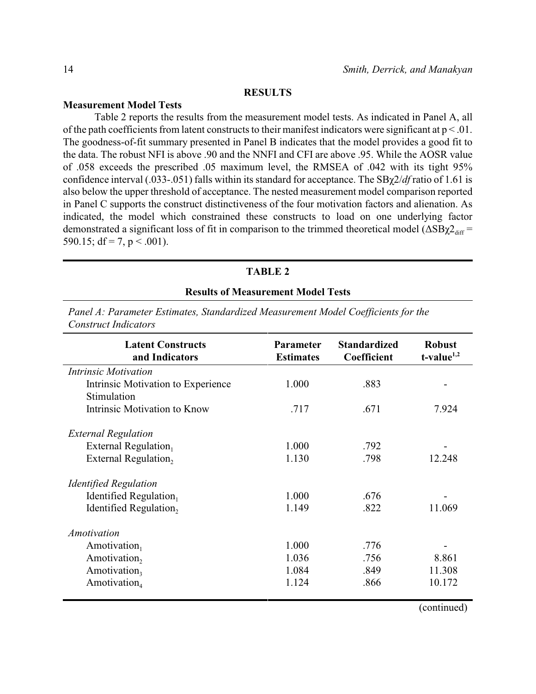## **RESULTS**

## **Measurement Model Tests**

Table 2 reports the results from the measurement model tests. As indicated in Panel A, all of the path coefficients from latent constructs to their manifest indicators were significant at  $p < 01$ . The goodness-of-fit summary presented in Panel B indicates that the model provides a good fit to the data. The robust NFI is above .90 and the NNFI and CFI are above .95. While the AOSR value of .058 exceeds the prescribed .05 maximum level, the RMSEA of .042 with its tight 95% confidence interval (.033-.051) falls within its standard for acceptance. The SB $\chi$ 2/*df* ratio of 1.61 is also below the upper threshold of acceptance. The nested measurement model comparison reported in Panel C supports the construct distinctiveness of the four motivation factors and alienation. As indicated, the model which constrained these constructs to load on one underlying factor demonstrated a significant loss of fit in comparison to the trimmed theoretical model ( $\Delta SB\chi2_{\text{diff}}$  = 590.15; df = 7, p < .001).

## **TABLE 2**

#### **Results of Measurement Model Tests**

| <b>Latent Constructs</b><br>and Indicators | <b>Parameter</b><br><b>Estimates</b> | <b>Standardized</b><br>Coefficient | <b>Robust</b><br>$t$ -value <sup>1,2</sup> |
|--------------------------------------------|--------------------------------------|------------------------------------|--------------------------------------------|
| Intrinsic Motivation                       |                                      |                                    |                                            |
| Intrinsic Motivation to Experience         | 1.000                                | .883                               |                                            |
| Stimulation                                |                                      |                                    |                                            |
| Intrinsic Motivation to Know               | .717                                 | .671                               | 7.924                                      |
| <b>External Regulation</b>                 |                                      |                                    |                                            |
| External Regulation                        | 1.000                                | .792                               |                                            |
| External Regulation,                       | 1.130                                | .798                               | 12.248                                     |
| <b>Identified Regulation</b>               |                                      |                                    |                                            |
| Identified Regulation                      | 1.000                                | .676                               |                                            |
| Identified Regulation,                     | 1.149                                | .822                               | 11.069                                     |
| <b>Amotivation</b>                         |                                      |                                    |                                            |
| Amotivation                                | 1.000                                | .776                               |                                            |
| Amotivation,                               | 1.036                                | .756                               | 8.861                                      |
| Amotivation,                               | 1.084                                | .849                               | 11.308                                     |
| Amotivation <sub>4</sub>                   | 1.124                                | .866                               | 10.172                                     |

*Panel A: Parameter Estimates, Standardized Measurement Model Coefficients for the Construct Indicators*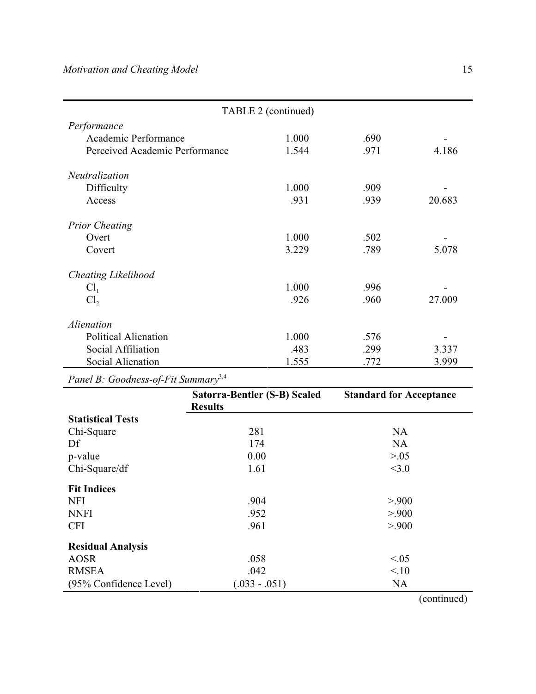|                                | TABLE 2 (continued) |      |        |
|--------------------------------|---------------------|------|--------|
| Performance                    |                     |      |        |
| Academic Performance           | 1.000               | .690 |        |
| Perceived Academic Performance | 1.544               | .971 | 4.186  |
| Neutralization                 |                     |      |        |
| Difficulty                     | 1.000               | .909 |        |
| Access                         | .931                | .939 | 20.683 |
| <b>Prior Cheating</b>          |                     |      |        |
| Overt                          | 1.000               | .502 |        |
| Covert                         | 3.229               | .789 | 5.078  |
| <b>Cheating Likelihood</b>     |                     |      |        |
| Cl <sub>1</sub>                | 1.000               | .996 |        |
| Cl <sub>2</sub>                | .926                | .960 | 27.009 |
| <i>Alienation</i>              |                     |      |        |
| <b>Political Alienation</b>    | 1.000               | .576 |        |
| Social Affiliation             | .483                | .299 | 3.337  |
| Social Alienation              | 1.555               | .772 | 3.999  |

*Panel B: Goodness-of-Fit Summary*3,4

|                          | Satorra-Bentler (S-B) Scaled | <b>Standard for Acceptance</b> |
|--------------------------|------------------------------|--------------------------------|
|                          | <b>Results</b>               |                                |
| <b>Statistical Tests</b> |                              |                                |
| Chi-Square               | 281                          | <b>NA</b>                      |
| Df                       | 174                          | <b>NA</b>                      |
| p-value                  | 0.00                         | > 0.05                         |
| Chi-Square/df            | 1.61                         | <3.0                           |
| <b>Fit Indices</b>       |                              |                                |
| <b>NFI</b>               | .904                         | > 900                          |
| <b>NNFI</b>              | .952                         | > 900                          |
| <b>CFI</b>               | .961                         | > 900                          |
| <b>Residual Analysis</b> |                              |                                |
| <b>AOSR</b>              | .058                         | <0.05                          |
| <b>RMSEA</b>             | .042                         | 10                             |
| (95% Confidence Level)   | $(.033 - .051)$              | <b>NA</b>                      |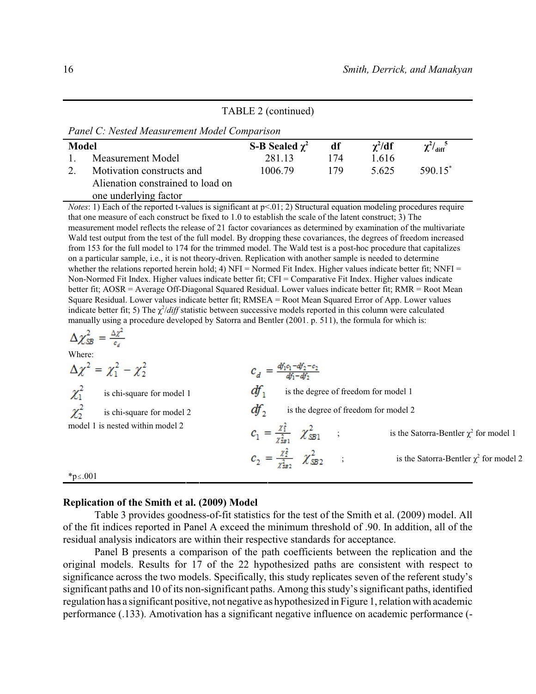## TABLE 2 (continued)

*Panel C: Nested Measurement Model Comparison*

| Model |                                   | S-B Sealed $\chi^2$ | df  | $\gamma^2/df$ | $\chi^2/\text{diff}^5$ |  |
|-------|-----------------------------------|---------------------|-----|---------------|------------------------|--|
|       | Measurement Model                 | 281 13              | 174 | 1.616         |                        |  |
|       | Motivation constructs and         | 1006.79             | 179 | 5.625         | $590.15$ <sup>*</sup>  |  |
|       | Alienation constrained to load on |                     |     |               |                        |  |
|       | one underlying factor             |                     |     |               |                        |  |

*Notes*: 1) Each of the reported t-values is significant at  $p<01$ ; 2) Structural equation modeling procedures require that one measure of each construct be fixed to 1.0 to establish the scale of the latent construct; 3) The measurement model reflects the release of 21 factor covariances as determined by examination of the multivariate Wald test output from the test of the full model. By dropping these covariances, the degrees of freedom increased from 153 for the full model to 174 for the trimmed model. The Wald test is a post-hoc procedure that capitalizes on a particular sample, i.e., it is not theory-driven. Replication with another sample is needed to determine whether the relations reported herein hold; 4) NFI = Normed Fit Index. Higher values indicate better fit; NNFI = Non-Normed Fit Index. Higher values indicate better fit; CFI = Comparative Fit Index. Higher values indicate better fit; AOSR = Average Off-Diagonal Squared Residual. Lower values indicate better fit; RMR = Root Mean Square Residual. Lower values indicate better fit; RMSEA = Root Mean Squared Error of App. Lower values indicate better fit; 5) The  $\chi^2/diff$  statistic between successive models reported in this column were calculated manually using a procedure developed by Satorra and Bentler (2001. p. 511), the formula for which is:

$$
\Delta \chi^2_{\rm SB} = \frac{\Delta \chi^2}{c_d}
$$

Where:

$$
\Delta \chi^2 = \chi_1^2 - \chi_2^2
$$
\n
$$
\chi_1^2
$$
\nis chi-square for model 1\n
$$
\chi_2^2
$$
\nis chi-square for model 2\n
$$
d f_1
$$
\nis the degree of freedom for model 1\n
$$
\chi_2^2
$$
\nis chi-square for model 2\n
$$
d f_2
$$
\nis the degree of freedom for model 2\n
$$
c_1 = \frac{\chi_1^2}{\chi_{ss1}^2} \chi_{SB1}^2
$$
\nis the Satorra-Bentler  $\chi^2$  for model 1\n
$$
c_2 = \frac{\chi_2^2}{\chi_{ss2}^2} \chi_{SB2}^2
$$
\nis the Satorra-Bentler  $\chi^2$  for model 2\n
$$
e_2 = \frac{\chi_2^2}{\chi_{ss2}^2} \chi_{SB2}^2
$$
\nis the Satorra-Bentler  $\chi^2$  for model 2

#### **Replication of the Smith et al. (2009) Model**

Table 3 provides goodness-of-fit statistics for the test of the Smith et al. (2009) model. All of the fit indices reported in Panel A exceed the minimum threshold of .90. In addition, all of the residual analysis indicators are within their respective standards for acceptance.

Panel B presents a comparison of the path coefficients between the replication and the original models. Results for 17 of the 22 hypothesized paths are consistent with respect to significance across the two models. Specifically, this study replicates seven of the referent study's significant paths and 10 of its non-significant paths. Among this study's significant paths, identified regulation has a significant positive, not negative as hypothesized in Figure 1, relation with academic performance (.133). Amotivation has a significant negative influence on academic performance (-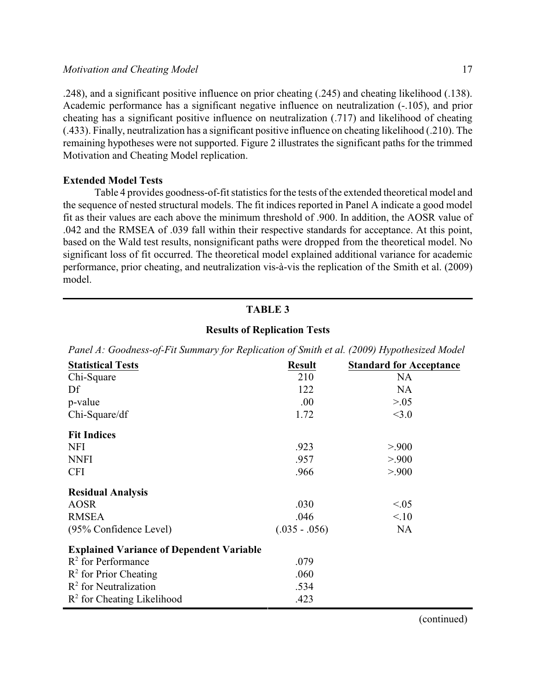.248), and a significant positive influence on prior cheating (.245) and cheating likelihood (.138). Academic performance has a significant negative influence on neutralization (-.105), and prior cheating has a significant positive influence on neutralization (.717) and likelihood of cheating (.433). Finally, neutralization has a significant positive influence on cheating likelihood (.210). The remaining hypotheses were not supported. Figure 2 illustrates the significant paths for the trimmed Motivation and Cheating Model replication.

## **Extended Model Tests**

Table 4 provides goodness-of-fit statistics for the tests of the extended theoretical model and the sequence of nested structural models. The fit indices reported in Panel A indicate a good model fit as their values are each above the minimum threshold of .900. In addition, the AOSR value of .042 and the RMSEA of .039 fall within their respective standards for acceptance. At this point, based on the Wald test results, nonsignificant paths were dropped from the theoretical model. No significant loss of fit occurred. The theoretical model explained additional variance for academic performance, prior cheating, and neutralization vis-à-vis the replication of the Smith et al. (2009) model.

## **TABLE 3**

# **Results of Replication Tests**

*Panel A: Goodness-of-Fit Summary for Replication of Smith et al. (2009) Hypothesized Model*

| <b>Statistical Tests</b>                        | <b>Result</b>   | <b>Standard for Acceptance</b> |
|-------------------------------------------------|-----------------|--------------------------------|
| Chi-Square                                      | 210             | <b>NA</b>                      |
| Df                                              | 122             | <b>NA</b>                      |
| p-value                                         | .00.            | > 0.05                         |
| Chi-Square/df                                   | 1.72            | <3.0                           |
| <b>Fit Indices</b>                              |                 |                                |
| <b>NFI</b>                                      | .923            | > 900                          |
| <b>NNFI</b>                                     | .957            | > 900                          |
| <b>CFI</b>                                      | .966            | > 900                          |
| <b>Residual Analysis</b>                        |                 |                                |
| <b>AOSR</b>                                     | .030            | < 0.05                         |
| <b>RMSEA</b>                                    | .046            | 10                             |
| (95% Confidence Level)                          | $(.035 - .056)$ | <b>NA</b>                      |
| <b>Explained Variance of Dependent Variable</b> |                 |                                |
| $R2$ for Performance                            | .079            |                                |
| $R^2$ for Prior Cheating                        | .060            |                                |
| $R2$ for Neutralization                         | .534            |                                |
| $R2$ for Cheating Likelihood                    | .423            |                                |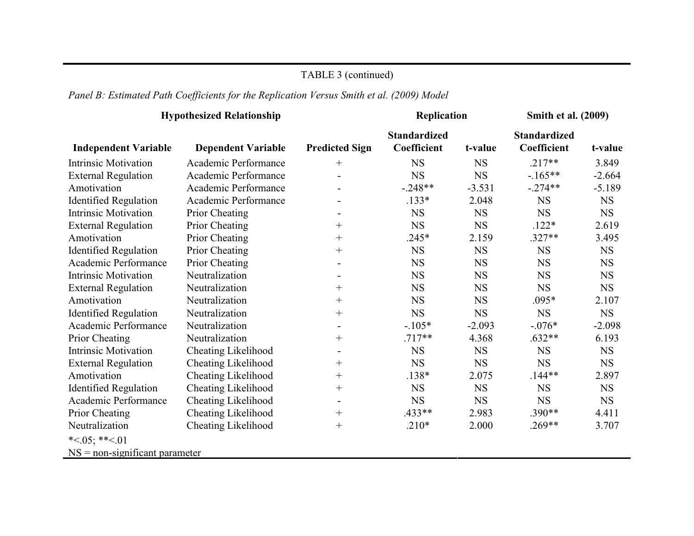## TABLE 3 (continued)

# *Panel B: Estimated Path Coefficients for the Replication Versus Smith et al. (2009) Model*

|                                  | <b>Hypothesized Relationship</b> |                                  | Replication                        |             | Smith et al. (2009)                |           |
|----------------------------------|----------------------------------|----------------------------------|------------------------------------|-------------|------------------------------------|-----------|
| <b>Independent Variable</b>      | <b>Dependent Variable</b>        | <b>Predicted Sign</b>            | <b>Standardized</b><br>Coefficient | t-value     | <b>Standardized</b><br>Coefficient | t-value   |
| <b>Intrinsic Motivation</b>      | Academic Performance             | $^{+}$                           | <b>NS</b>                          | <b>NS</b>   | $.217**$                           | 3.849     |
| <b>External Regulation</b>       | Academic Performance             | $\overline{\phantom{a}}$         | <b>NS</b>                          | <b>NS</b>   | $-165**$                           | $-2.664$  |
| Amotivation                      | Academic Performance             |                                  | $-.248**$                          | $-3.531$    | $-.274**$                          | $-5.189$  |
| <b>Identified Regulation</b>     | Academic Performance             |                                  | $.133*$                            | 2.048       | <b>NS</b>                          | <b>NS</b> |
| <b>Intrinsic Motivation</b>      | Prior Cheating                   | $\overline{\phantom{a}}$         | <b>NS</b>                          | <b>NS</b>   | <b>NS</b>                          | <b>NS</b> |
| <b>External Regulation</b>       | Prior Cheating                   | $^{+}$                           | <b>NS</b>                          | <b>NS</b>   | $.122*$                            | 2.619     |
| Amotivation                      | Prior Cheating                   | $^{+}$                           | $.245*$                            | 2.159       | $.327**$                           | 3.495     |
| <b>Identified Regulation</b>     | Prior Cheating                   | $^{+}$                           | <b>NS</b>                          | <b>NS</b>   | <b>NS</b>                          | <b>NS</b> |
| Academic Performance             | Prior Cheating                   |                                  | <b>NS</b>                          | <b>NS</b>   | $_{\rm NS}$                        | <b>NS</b> |
| <b>Intrinsic Motivation</b>      | Neutralization                   |                                  | <b>NS</b>                          | <b>NS</b>   | <b>NS</b>                          | <b>NS</b> |
| <b>External Regulation</b>       | Neutralization                   | $^{+}$                           | <b>NS</b>                          | <b>NS</b>   | <b>NS</b>                          | <b>NS</b> |
| Amotivation                      | Neutralization                   | $^{+}$                           | <b>NS</b>                          | $_{\rm NS}$ | $.095*$                            | 2.107     |
| <b>Identified Regulation</b>     | Neutralization                   | $\begin{array}{c} + \end{array}$ | <b>NS</b>                          | <b>NS</b>   | <b>NS</b>                          | <b>NS</b> |
| Academic Performance             | Neutralization                   | $\blacksquare$                   | $-.105*$                           | $-2.093$    | $-.076*$                           | $-2.098$  |
| Prior Cheating                   | Neutralization                   | $^{+}$                           | $.717**$                           | 4.368       | $.632**$                           | 6.193     |
| <b>Intrinsic Motivation</b>      | <b>Cheating Likelihood</b>       | $\blacksquare$                   | <b>NS</b>                          | <b>NS</b>   | <b>NS</b>                          | <b>NS</b> |
| <b>External Regulation</b>       | <b>Cheating Likelihood</b>       | $^{+}$                           | <b>NS</b>                          | <b>NS</b>   | <b>NS</b>                          | <b>NS</b> |
| Amotivation                      | <b>Cheating Likelihood</b>       | $^{+}$                           | $.138*$                            | 2.075       | $.144**$                           | 2.897     |
| <b>Identified Regulation</b>     | <b>Cheating Likelihood</b>       | $^{+}$                           | <b>NS</b>                          | <b>NS</b>   | <b>NS</b>                          | <b>NS</b> |
| Academic Performance             | Cheating Likelihood              | $\overline{\phantom{a}}$         | <b>NS</b>                          | <b>NS</b>   | <b>NS</b>                          | <b>NS</b> |
| Prior Cheating                   | <b>Cheating Likelihood</b>       | $^{+}$                           | .433**                             | 2.983       | $.390**$                           | 4.411     |
| Neutralization                   | Cheating Likelihood              | $^{+}$                           | $.210*$                            | 2.000       | $.269**$                           | 3.707     |
| * $<05$ ; ** $<01$               |                                  |                                  |                                    |             |                                    |           |
| $NS = non-significant parameter$ |                                  |                                  |                                    |             |                                    |           |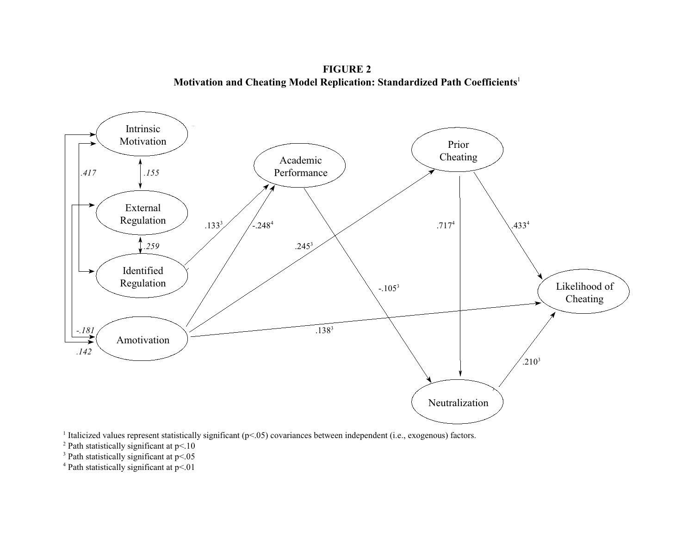**FIGURE 2 Motivation and Cheating Model Replication: Standardized Path Coefficients**<sup>1</sup>



<sup>1</sup> Italicized values represent statistically significant ( $p$ <.05) covariances between independent (i.e., exogenous) factors.

 $2$  Path statistically significant at p<.10

 $3$  Path statistically significant at p<.05

 $4$  Path statistically significant at p<.01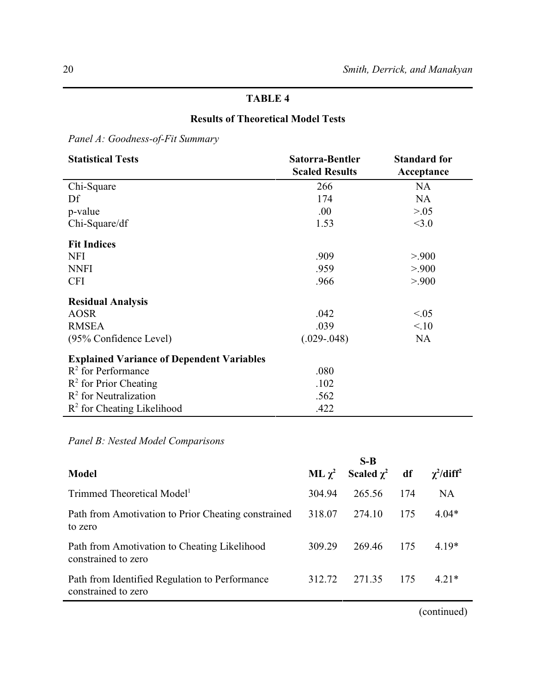# **TABLE 4**

## **Results of Theoretical Model Tests**

*Panel A: Goodness-of-Fit Summary*

| <b>Statistical Tests</b>                         | Satorra-Bentler       | <b>Standard for</b> |
|--------------------------------------------------|-----------------------|---------------------|
|                                                  | <b>Scaled Results</b> | Acceptance          |
| Chi-Square                                       | 266                   | <b>NA</b>           |
| Df                                               | 174                   | <b>NA</b>           |
| p-value                                          | .00.                  | > 0.05              |
| Chi-Square/df                                    | 1.53                  | <3.0                |
| <b>Fit Indices</b>                               |                       |                     |
| <b>NFI</b>                                       | .909                  | > 900               |
| <b>NNFI</b>                                      | .959                  | > 900               |
| <b>CFI</b>                                       | .966                  | > 900               |
| <b>Residual Analysis</b>                         |                       |                     |
| <b>AOSR</b>                                      | .042                  | < 0.05              |
| <b>RMSEA</b>                                     | .039                  | 10                  |
| (95% Confidence Level)                           | $(.029-.048)$         | <b>NA</b>           |
| <b>Explained Variance of Dependent Variables</b> |                       |                     |
| $R^2$ for Performance                            | .080                  |                     |
| $R^2$ for Prior Cheating                         | .102                  |                     |
| $R2$ for Neutralization                          | .562                  |                     |
| $R2$ for Cheating Likelihood                     | .422                  |                     |

*Panel B: Nested Model Comparisons*

|                                                                       |             | $S-B$           |     |                             |
|-----------------------------------------------------------------------|-------------|-----------------|-----|-----------------------------|
| Model                                                                 | ML $\chi^2$ | Scaled $\chi^2$ | df  | $\chi^2$ /diff <sup>2</sup> |
| Trimmed Theoretical Model <sup>1</sup>                                | 304.94      | 265.56          | 174 | NA                          |
| Path from Amotivation to Prior Cheating constrained<br>to zero        | 318.07      | 274.10          | 175 | $4.04*$                     |
| Path from Amotivation to Cheating Likelihood<br>constrained to zero   | 309.29      | 269.46          | 175 | 4.19*                       |
| Path from Identified Regulation to Performance<br>constrained to zero | 312.72      | 271.35          | 175 | $4.21*$                     |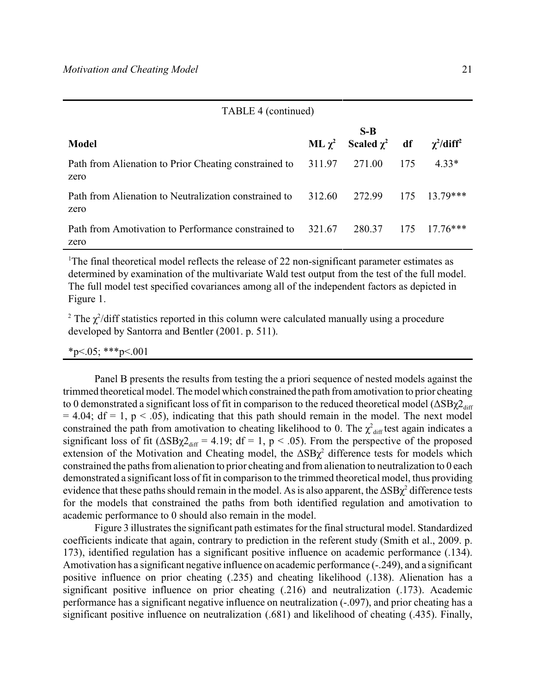| TABLE 4 (continued) |  |
|---------------------|--|
|---------------------|--|

|                                                                             | $S-R$                          |     |                             |
|-----------------------------------------------------------------------------|--------------------------------|-----|-----------------------------|
| <b>Model</b>                                                                | ML $\chi^2$ Scaled $\chi^2$ df |     | $\chi^2$ /diff <sup>2</sup> |
| Path from Alienation to Prior Cheating constrained to 311.97 271.00<br>zero |                                | 175 | 4.33*                       |
| Path from Alienation to Neutralization constrained to<br>zero               | 312.60 272.99                  |     | $175$ $13.79***$            |
| Path from Amotivation to Performance constrained to 321.67 280.37<br>zero   |                                |     | $175 \quad 17.76***$        |

<sup>1</sup>The final theoretical model reflects the release of 22 non-significant parameter estimates as determined by examination of the multivariate Wald test output from the test of the full model. The full model test specified covariances among all of the independent factors as depicted in Figure 1.

<sup>2</sup> The  $\chi^2$ /diff statistics reported in this column were calculated manually using a procedure developed by Santorra and Bentler (2001. p. 511).

 $*p<.05;$   $**p<.001$ 

Panel B presents the results from testing the a priori sequence of nested models against the trimmed theoretical model. The model which constrained the path from amotivation to prior cheating to 0 demonstrated a significant loss of fit in comparison to the reduced theoretical model ( $\Delta SB\chi2_{\text{diff}}$ )  $= 4.04$ ; df  $= 1$ , p  $\lt$  .05), indicating that this path should remain in the model. The next model constrained the path from amotivation to cheating likelihood to 0. The  $\chi^2_{\text{diff}}$  test again indicates a significant loss of fit ( $\Delta SB\chi2_{\text{diff}} = 4.19$ ; df = 1, p < .05). From the perspective of the proposed extension of the Motivation and Cheating model, the  $\Delta SB\chi^2$  difference tests for models which constrained the paths from alienation to prior cheating and from alienation to neutralization to 0 each demonstrated a significant loss of fit in comparison to the trimmed theoretical model, thus providing evidence that these paths should remain in the model. As is also apparent, the  $\Delta SB\chi^2$  difference tests for the models that constrained the paths from both identified regulation and amotivation to academic performance to 0 should also remain in the model.

Figure 3 illustrates the significant path estimates for the final structural model. Standardized coefficients indicate that again, contrary to prediction in the referent study (Smith et al., 2009. p. 173), identified regulation has a significant positive influence on academic performance (.134). Amotivation has a significant negative influence on academic performance (-.249), and a significant positive influence on prior cheating (.235) and cheating likelihood (.138). Alienation has a significant positive influence on prior cheating (.216) and neutralization (.173). Academic performance has a significant negative influence on neutralization (-.097), and prior cheating has a significant positive influence on neutralization (.681) and likelihood of cheating (.435). Finally,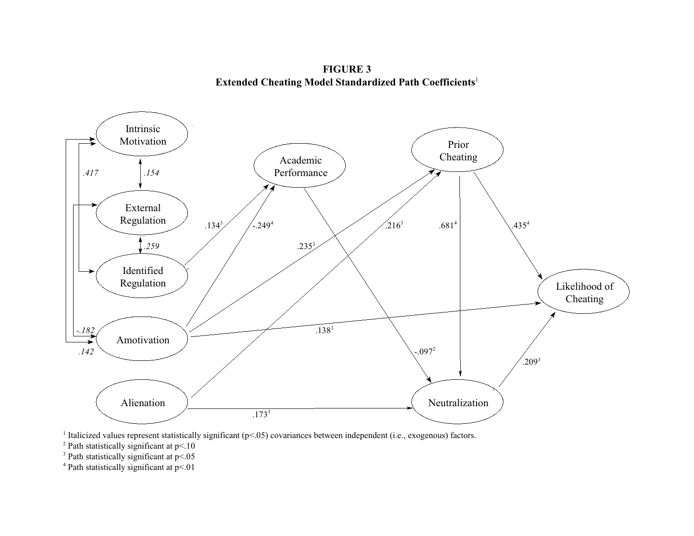**FIGURE 3 Extended Cheating Model Standardized Path Coefficients**<sup>1</sup>



<sup>1</sup> Italicized values represent statistically significant ( $p$ <.05) covariances between independent (i.e., exogenous) factors.

 $2$  Path statistically significant at p<.10

 $3$  Path statistically significant at p<.05

 $4$  Path statistically significant at p<.01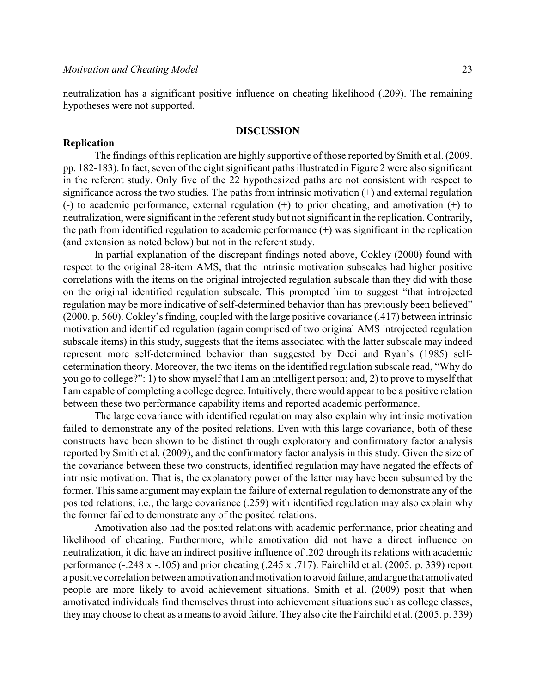neutralization has a significant positive influence on cheating likelihood (.209). The remaining hypotheses were not supported.

## **DISCUSSION**

#### **Replication**

The findings of this replication are highly supportive of those reported by Smith et al. (2009. pp. 182-183). In fact, seven of the eight significant paths illustrated in Figure 2 were also significant in the referent study. Only five of the 22 hypothesized paths are not consistent with respect to significance across the two studies. The paths from intrinsic motivation (+) and external regulation (-) to academic performance, external regulation (+) to prior cheating, and amotivation (+) to neutralization, were significant in the referent study but not significant in the replication. Contrarily, the path from identified regulation to academic performance (+) was significant in the replication (and extension as noted below) but not in the referent study.

In partial explanation of the discrepant findings noted above, Cokley (2000) found with respect to the original 28-item AMS, that the intrinsic motivation subscales had higher positive correlations with the items on the original introjected regulation subscale than they did with those on the original identified regulation subscale. This prompted him to suggest "that introjected regulation may be more indicative of self-determined behavior than has previously been believed" (2000. p. 560). Cokley's finding, coupled with the large positive covariance (.417) between intrinsic motivation and identified regulation (again comprised of two original AMS introjected regulation subscale items) in this study, suggests that the items associated with the latter subscale may indeed represent more self-determined behavior than suggested by Deci and Ryan's (1985) selfdetermination theory. Moreover, the two items on the identified regulation subscale read, "Why do you go to college?": 1) to show myself that I am an intelligent person; and, 2) to prove to myself that I am capable of completing a college degree. Intuitively, there would appear to be a positive relation between these two performance capability items and reported academic performance.

The large covariance with identified regulation may also explain why intrinsic motivation failed to demonstrate any of the posited relations. Even with this large covariance, both of these constructs have been shown to be distinct through exploratory and confirmatory factor analysis reported by Smith et al. (2009), and the confirmatory factor analysis in this study. Given the size of the covariance between these two constructs, identified regulation may have negated the effects of intrinsic motivation. That is, the explanatory power of the latter may have been subsumed by the former. This same argument may explain the failure of external regulation to demonstrate any of the posited relations; i.e., the large covariance (.259) with identified regulation may also explain why the former failed to demonstrate any of the posited relations.

Amotivation also had the posited relations with academic performance, prior cheating and likelihood of cheating. Furthermore, while amotivation did not have a direct influence on neutralization, it did have an indirect positive influence of .202 through its relations with academic performance (-.248 x -.105) and prior cheating (.245 x .717). Fairchild et al. (2005. p. 339) report a positive correlation between amotivation and motivation to avoid failure, and argue that amotivated people are more likely to avoid achievement situations. Smith et al. (2009) posit that when amotivated individuals find themselves thrust into achievement situations such as college classes, theymay choose to cheat as a means to avoid failure. They also cite the Fairchild et al. (2005. p. 339)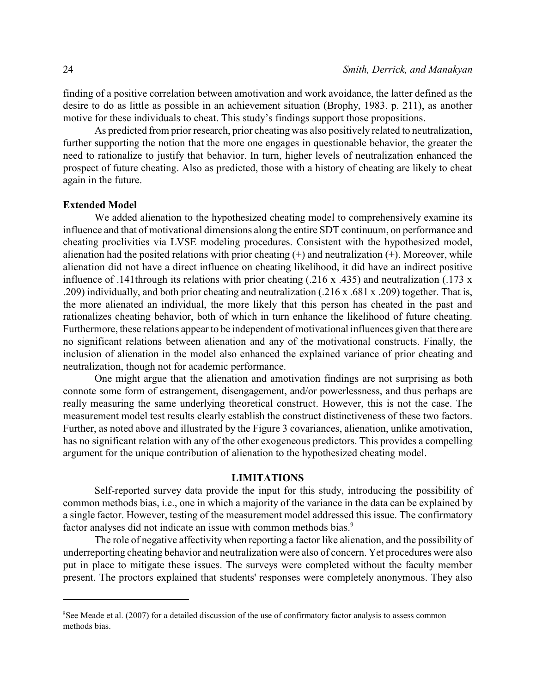finding of a positive correlation between amotivation and work avoidance, the latter defined as the desire to do as little as possible in an achievement situation (Brophy, 1983. p. 211), as another motive for these individuals to cheat. This study's findings support those propositions.

As predicted from prior research, prior cheating was also positively related to neutralization, further supporting the notion that the more one engages in questionable behavior, the greater the need to rationalize to justify that behavior. In turn, higher levels of neutralization enhanced the prospect of future cheating. Also as predicted, those with a history of cheating are likely to cheat again in the future.

## **Extended Model**

We added alienation to the hypothesized cheating model to comprehensively examine its influence and that of motivational dimensions along the entire SDT continuum, on performance and cheating proclivities via LVSE modeling procedures. Consistent with the hypothesized model, alienation had the posited relations with prior cheating (+) and neutralization (+). Moreover, while alienation did not have a direct influence on cheating likelihood, it did have an indirect positive influence of .141through its relations with prior cheating (.216 x .435) and neutralization (.173 x .209) individually, and both prior cheating and neutralization (.216 x .681 x .209) together. That is, the more alienated an individual, the more likely that this person has cheated in the past and rationalizes cheating behavior, both of which in turn enhance the likelihood of future cheating. Furthermore, these relations appear to be independent of motivational influences given that there are no significant relations between alienation and any of the motivational constructs. Finally, the inclusion of alienation in the model also enhanced the explained variance of prior cheating and neutralization, though not for academic performance.

One might argue that the alienation and amotivation findings are not surprising as both connote some form of estrangement, disengagement, and/or powerlessness, and thus perhaps are really measuring the same underlying theoretical construct. However, this is not the case. The measurement model test results clearly establish the construct distinctiveness of these two factors. Further, as noted above and illustrated by the Figure 3 covariances, alienation, unlike amotivation, has no significant relation with any of the other exogeneous predictors. This provides a compelling argument for the unique contribution of alienation to the hypothesized cheating model.

## **LIMITATIONS**

Self-reported survey data provide the input for this study, introducing the possibility of common methods bias, i.e., one in which a majority of the variance in the data can be explained by a single factor. However, testing of the measurement model addressed this issue. The confirmatory factor analyses did not indicate an issue with common methods bias.<sup>9</sup>

The role of negative affectivity when reporting a factor like alienation, and the possibility of underreporting cheating behavior and neutralization were also of concern. Yet procedures were also put in place to mitigate these issues. The surveys were completed without the faculty member present. The proctors explained that students' responses were completely anonymous. They also

<sup>&</sup>lt;sup>9</sup>See Meade et al. (2007) for a detailed discussion of the use of confirmatory factor analysis to assess common methods bias.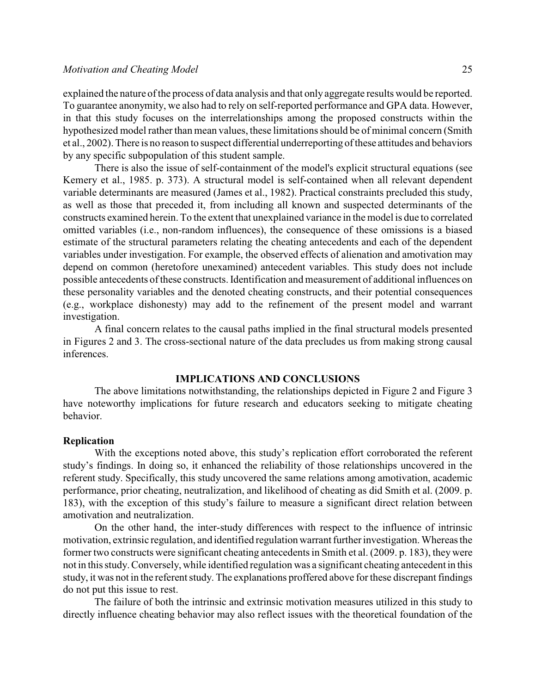explained the nature of the process of data analysis and that only aggregate results would be reported. To guarantee anonymity, we also had to rely on self-reported performance and GPA data. However, in that this study focuses on the interrelationships among the proposed constructs within the hypothesized model rather than mean values, these limitations should be of minimal concern (Smith et al., 2002). There is no reason to suspect differential underreporting of these attitudes and behaviors by any specific subpopulation of this student sample.

There is also the issue of self-containment of the model's explicit structural equations (see Kemery et al., 1985. p. 373). A structural model is self-contained when all relevant dependent variable determinants are measured (James et al., 1982). Practical constraints precluded this study, as well as those that preceded it, from including all known and suspected determinants of the constructs examined herein. To the extent that unexplained variance in the model is due to correlated omitted variables (i.e., non-random influences), the consequence of these omissions is a biased estimate of the structural parameters relating the cheating antecedents and each of the dependent variables under investigation. For example, the observed effects of alienation and amotivation may depend on common (heretofore unexamined) antecedent variables. This study does not include possible antecedents of these constructs. Identification and measurement of additional influences on these personality variables and the denoted cheating constructs, and their potential consequences (e.g., workplace dishonesty) may add to the refinement of the present model and warrant investigation.

A final concern relates to the causal paths implied in the final structural models presented in Figures 2 and 3. The cross-sectional nature of the data precludes us from making strong causal inferences.

## **IMPLICATIONS AND CONCLUSIONS**

The above limitations notwithstanding, the relationships depicted in Figure 2 and Figure 3 have noteworthy implications for future research and educators seeking to mitigate cheating behavior.

#### **Replication**

With the exceptions noted above, this study's replication effort corroborated the referent study's findings. In doing so, it enhanced the reliability of those relationships uncovered in the referent study. Specifically, this study uncovered the same relations among amotivation, academic performance, prior cheating, neutralization, and likelihood of cheating as did Smith et al. (2009. p. 183), with the exception of this study's failure to measure a significant direct relation between amotivation and neutralization.

On the other hand, the inter-study differences with respect to the influence of intrinsic motivation, extrinsic regulation, and identified regulation warrant furtherinvestigation. Whereas the former two constructs were significant cheating antecedents in Smith et al. (2009. p. 183), they were not in this study. Conversely, while identified regulation was a significant cheating antecedent in this study, it was not in the referent study. The explanations proffered above for these discrepant findings do not put this issue to rest.

The failure of both the intrinsic and extrinsic motivation measures utilized in this study to directly influence cheating behavior may also reflect issues with the theoretical foundation of the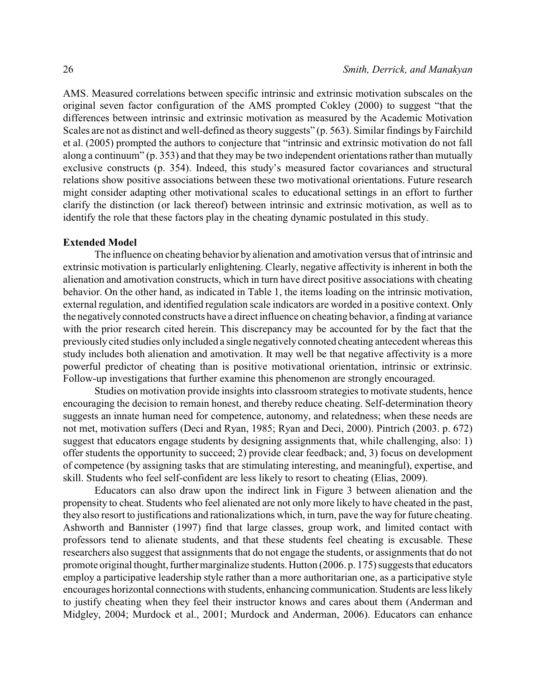AMS. Measured correlations between specific intrinsic and extrinsic motivation subscales on the original seven factor configuration of the AMS prompted Cokley (2000) to suggest "that the differences between intrinsic and extrinsic motivation as measured by the Academic Motivation Scales are not as distinct and well-defined as theory suggests" (p. 563). Similar findings by Fairchild et al. (2005) prompted the authors to conjecture that "intrinsic and extrinsic motivation do not fall along a continuum" (p. 353) and that they may be two independent orientations rather than mutually exclusive constructs (p. 354). Indeed, this study's measured factor covariances and structural relations show positive associations between these two motivational orientations. Future research might consider adapting other motivational scales to educational settings in an effort to further clarify the distinction (or lack thereof) between intrinsic and extrinsic motivation, as well as to identify the role that these factors play in the cheating dynamic postulated in this study.

### **Extended Model**

The influence on cheating behavior by alienation and amotivation versus that of intrinsic and extrinsic motivation is particularly enlightening. Clearly, negative affectivity is inherent in both the alienation and amotivation constructs, which in turn have direct positive associations with cheating behavior. On the other hand, as indicated in Table 1, the items loading on the intrinsic motivation, external regulation, and identified regulation scale indicators are worded in a positive context. Only the negatively connoted constructs have a direct influence on cheating behavior, a finding at variance with the prior research cited herein. This discrepancy may be accounted for by the fact that the previously cited studies only included a single negatively connoted cheating antecedent whereas this study includes both alienation and amotivation. It may well be that negative affectivity is a more powerful predictor of cheating than is positive motivational orientation, intrinsic or extrinsic. Follow-up investigations that further examine this phenomenon are strongly encouraged.

Studies on motivation provide insights into classroom strategies to motivate students, hence encouraging the decision to remain honest, and thereby reduce cheating. Self-determination theory suggests an innate human need for competence, autonomy, and relatedness; when these needs are not met, motivation suffers (Deci and Ryan, 1985; Ryan and Deci, 2000). Pintrich (2003. p. 672) suggest that educators engage students by designing assignments that, while challenging, also: 1) offer students the opportunity to succeed; 2) provide clear feedback; and, 3) focus on development of competence (by assigning tasks that are stimulating interesting, and meaningful), expertise, and skill. Students who feel self-confident are less likely to resort to cheating (Elias, 2009).

Educators can also draw upon the indirect link in Figure 3 between alienation and the propensity to cheat. Students who feel alienated are not only more likely to have cheated in the past, they also resort to justifications and rationalizations which, in turn, pave the way for future cheating. Ashworth and Bannister (1997) find that large classes, group work, and limited contact with professors tend to alienate students, and that these students feel cheating is excusable. These researchers also suggest that assignments that do not engage the students, or assignments that do not promote original thought, further marginalize students. Hutton (2006. p. 175) suggests that educators employ a participative leadership style rather than a more authoritarian one, as a participative style encourages horizontal connections with students, enhancing communication. Students are less likely to justify cheating when they feel their instructor knows and cares about them (Anderman and Midgley, 2004; Murdock et al., 2001; Murdock and Anderman, 2006). Educators can enhance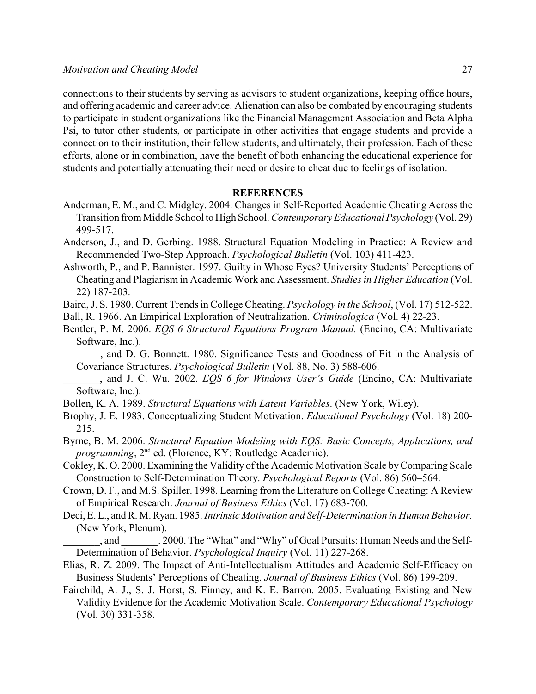connections to their students by serving as advisors to student organizations, keeping office hours, and offering academic and career advice. Alienation can also be combated by encouraging students to participate in student organizations like the Financial Management Association and Beta Alpha Psi, to tutor other students, or participate in other activities that engage students and provide a connection to their institution, their fellow students, and ultimately, their profession. Each of these efforts, alone or in combination, have the benefit of both enhancing the educational experience for students and potentially attenuating their need or desire to cheat due to feelings of isolation.

## **REFERENCES**

- Anderman, E. M., and C. Midgley. 2004. Changes in Self-Reported Academic Cheating Across the Transition from Middle School to High School. *Contemporary Educational Psychology* (Vol. 29) 499-517.
- Anderson, J., and D. Gerbing. 1988. Structural Equation Modeling in Practice: A Review and Recommended Two-Step Approach. *Psychological Bulletin* (Vol. 103) 411-423.
- Ashworth, P., and P. Bannister. 1997. Guilty in Whose Eyes? University Students' Perceptions of Cheating and Plagiarism in Academic Work and Assessment. *Studies in Higher Education* (Vol. 22) 187-203.
- Baird, J. S. 1980. Current Trends in College Cheating. *Psychology in the School*, (Vol. 17) 512-522.
- Ball, R. 1966. An Empirical Exploration of Neutralization. *Criminologica* (Vol. 4) 22-23.
- Bentler, P. M. 2006. *EQS 6 Structural Equations Program Manual.* (Encino, CA: Multivariate Software, Inc.).
	- \_\_\_\_\_\_\_, and D. G. Bonnett. 1980. Significance Tests and Goodness of Fit in the Analysis of Covariance Structures. *Psychological Bulletin* (Vol. 88, No. 3) 588-606.
- \_\_\_\_\_\_\_, and J. C. Wu. 2002. *EQS 6 for Windows User's Guide* (Encino, CA: Multivariate Software, Inc.).
- Bollen, K. A. 1989. *Structural Equations with Latent Variables*. (New York, Wiley).
- Brophy, J. E. 1983. Conceptualizing Student Motivation. *Educational Psychology* (Vol. 18) 200- 215.
- Byrne, B. M. 2006. *Structural Equation Modeling with EQS: Basic Concepts, Applications, and* programming, 2<sup>nd</sup> ed. (Florence, KY: Routledge Academic).
- Cokley, K. O. 2000. Examining the Validity of the Academic Motivation Scale byComparing Scale Construction to Self-Determination Theory. *Psychological Reports* (Vol. 86) 560–564.
- Crown, D. F., and M.S. Spiller. 1998. Learning from the Literature on College Cheating: A Review of Empirical Research. *Journal of Business Ethics* (Vol. 17) 683-700.
- Deci, E. L., and R. M. Ryan. 1985. *Intrinsic Motivation and Self-Determination in Human Behavior.* (New York, Plenum).

, and  $\qquad \qquad$  . 2000. The "What" and "Why" of Goal Pursuits: Human Needs and the Self-Determination of Behavior. *Psychological Inquiry* (Vol. 11) 227-268.

- Elias, R. Z. 2009. The Impact of Anti-Intellectualism Attitudes and Academic Self-Efficacy on Business Students' Perceptions of Cheating. *Journal of Business Ethics* (Vol. 86) 199-209.
- Fairchild, A. J., S. J. Horst, S. Finney, and K. E. Barron. 2005. Evaluating Existing and New Validity Evidence for the Academic Motivation Scale. *Contemporary Educational Psychology* (Vol. 30) 331-358.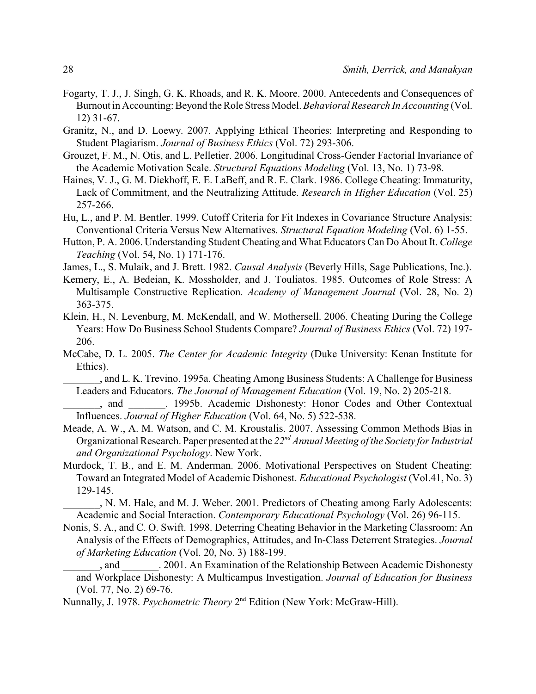- Fogarty, T. J., J. Singh, G. K. Rhoads, and R. K. Moore. 2000. Antecedents and Consequences of Burnout in Accounting: Beyond the Role Stress Model. *Behavioral Research In Accounting* (Vol. 12) 31-67.
- Granitz, N., and D. Loewy. 2007. Applying Ethical Theories: Interpreting and Responding to Student Plagiarism. *Journal of Business Ethics* (Vol. 72) 293-306.
- Grouzet, F. M., N. Otis, and L. Pelletier. 2006. Longitudinal Cross-Gender Factorial Invariance of the Academic Motivation Scale. *Structural Equations Modeling* (Vol. 13, No. 1) 73-98.
- Haines, V. J., G. M. Diekhoff, E. E. LaBeff, and R. E. Clark. 1986. College Cheating: Immaturity, Lack of Commitment, and the Neutralizing Attitude. *Research in Higher Education* (Vol. 25) 257-266.
- Hu, L., and P. M. Bentler. 1999. Cutoff Criteria for Fit Indexes in Covariance Structure Analysis: Conventional Criteria Versus New Alternatives. *Structural Equation Modeling* (Vol. 6) 1-55.
- Hutton, P. A. 2006. Understanding Student Cheating and What Educators Can Do About It. *College Teaching* (Vol. 54, No. 1) 171-176.
- James, L., S. Mulaik, and J. Brett. 1982. *Causal Analysis* (Beverly Hills, Sage Publications, Inc.).
- Kemery, E., A. Bedeian, K. Mossholder, and J. Touliatos. 1985. Outcomes of Role Stress: A Multisample Constructive Replication. *Academy of Management Journal* (Vol. 28, No. 2) 363-375.
- Klein, H., N. Levenburg, M. McKendall, and W. Mothersell. 2006. Cheating During the College Years: How Do Business School Students Compare? *Journal of Business Ethics* (Vol. 72) 197- 206.
- McCabe, D. L. 2005. *The Center for Academic Integrity* (Duke University: Kenan Institute for Ethics).
	- \_\_\_\_\_\_\_, and L. K. Trevino. 1995a. Cheating Among Business Students: A Challenge for Business Leaders and Educators. *The Journal of Management Education* (Vol. 19, No. 2) 205-218.
- \_\_\_\_\_\_\_, and \_\_\_\_\_\_\_. 1995b. Academic Dishonesty: Honor Codes and Other Contextual Influences. *Journal of Higher Education* (Vol. 64, No. 5) 522-538.
- Meade, A. W., A. M. Watson, and C. M. Kroustalis. 2007. Assessing Common Methods Bias in Organizational Research. Paper presented at the 22<sup>nd</sup> Annual Meeting of the Society for Industrial *and Organizational Psychology*. New York.
- Murdock, T. B., and E. M. Anderman. 2006. Motivational Perspectives on Student Cheating: Toward an Integrated Model of Academic Dishonest. *Educational Psychologist* (Vol.41, No. 3) 129-145.

\_\_\_\_\_\_\_, N. M. Hale, and M. J. Weber. 2001. Predictors of Cheating among Early Adolescents: Academic and Social Interaction. *Contemporary Educational Psychology* (Vol. 26) 96-115.

- Nonis, S. A., and C. O. Swift. 1998. Deterring Cheating Behavior in the Marketing Classroom: An Analysis of the Effects of Demographics, Attitudes, and In-Class Deterrent Strategies. *Journal of Marketing Education* (Vol. 20, No. 3) 188-199.
- \_\_\_\_\_\_\_, and \_\_\_\_\_\_\_. 2001. An Examination of the Relationship Between Academic Dishonesty and Workplace Dishonesty: A Multicampus Investigation. *Journal of Education for Business* (Vol. 77, No. 2) 69-76.
- Nunnally, J. 1978. *Psychometric Theory* 2<sup>nd</sup> Edition (New York: McGraw-Hill).